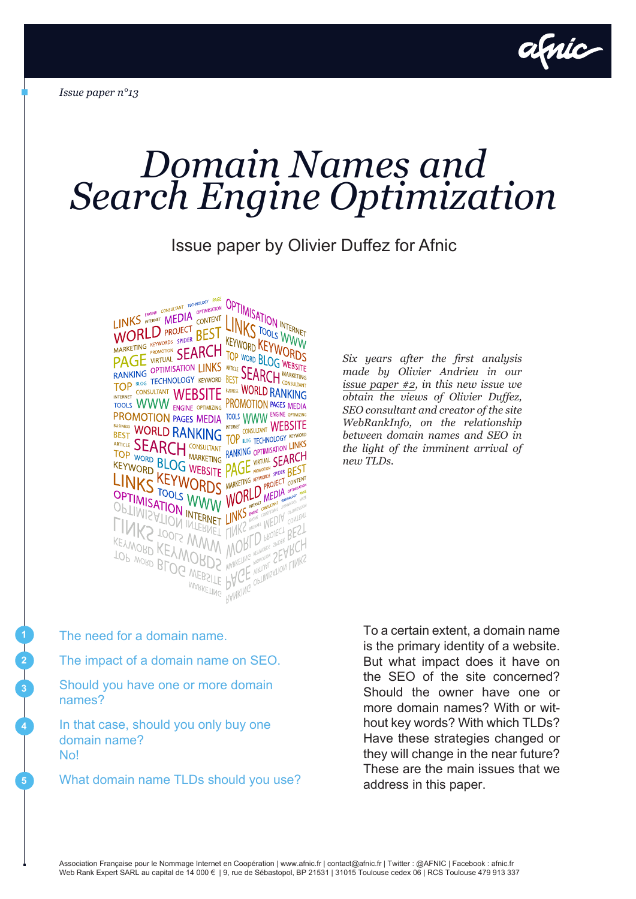

# *Domain Names and Search Engine Optimization*

#### Issue paper by Olivier Duffez for Afnic



*Six years after the first analysis made by Olivier Andrieu in our [issue paper #2,](http://www.afnic.fr/medias/documents/dossier-domaines-et-referencement-afnic-andrieu-10-07.pdf) in this new issue we obtain the views of Olivier Duffez, SEO consultant and creator of the site WebRankInfo, on the relationship between domain names and SEO in the light of the imminent arrival of new TLDs.*

The need for a domain name.

**2**

**3**

**4**

**5**

The impact of a domain name on SEO.

Should you have one or more domain names?

In that case, should you only buy one domain name? No!

What domain name TLDs should you use?

**<sup>1</sup>** To a certain extent, a domain name is the primary identity of a website. But what impact does it have on the SEO of the site concerned? Should the owner have one or more domain names? With or without key words? With which TLDs? Have these strategies changed or they will change in the near future? These are the main issues that we address in this paper.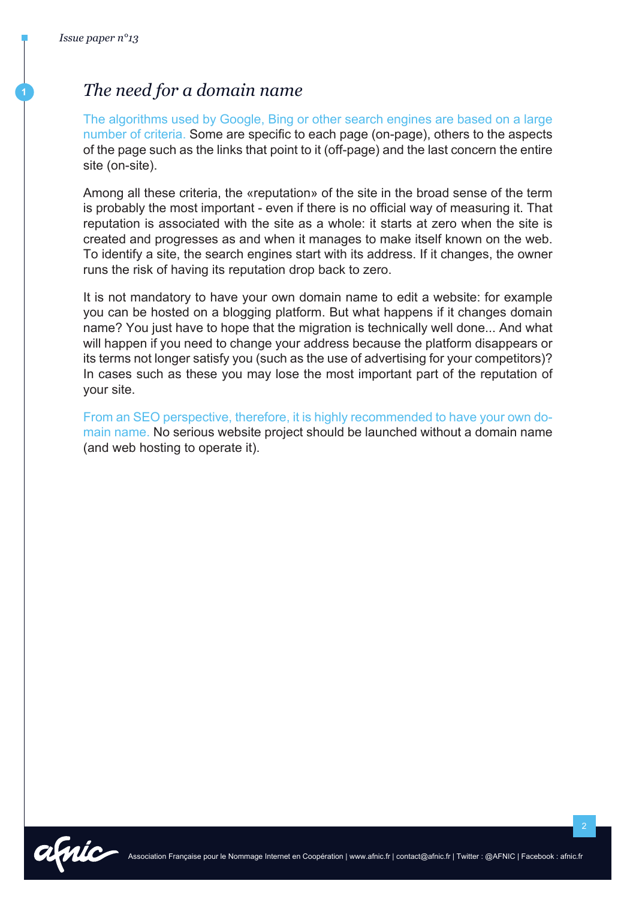### **<sup>1</sup>** *The need for a domain name*

The algorithms used by Google, Bing or other search engines are based on a large number of criteria. Some are specific to each page (on-page), others to the aspects of the page such as the links that point to it (off-page) and the last concern the entire site (on-site).

Among all these criteria, the «reputation» of the site in the broad sense of the term is probably the most important - even if there is no official way of measuring it. That reputation is associated with the site as a whole: it starts at zero when the site is created and progresses as and when it manages to make itself known on the web. To identify a site, the search engines start with its address. If it changes, the owner runs the risk of having its reputation drop back to zero.

It is not mandatory to have your own domain name to edit a website: for example you can be hosted on a blogging platform. But what happens if it changes domain name? You just have to hope that the migration is technically well done... And what will happen if you need to change your address because the platform disappears or its terms not longer satisfy you (such as the use of advertising for your competitors)? In cases such as these you may lose the most important part of the reputation of your site.

From an SEO perspective, therefore, it is highly recommended to have your own domain name. No serious website project should be launched without a domain name (and web hosting to operate it).

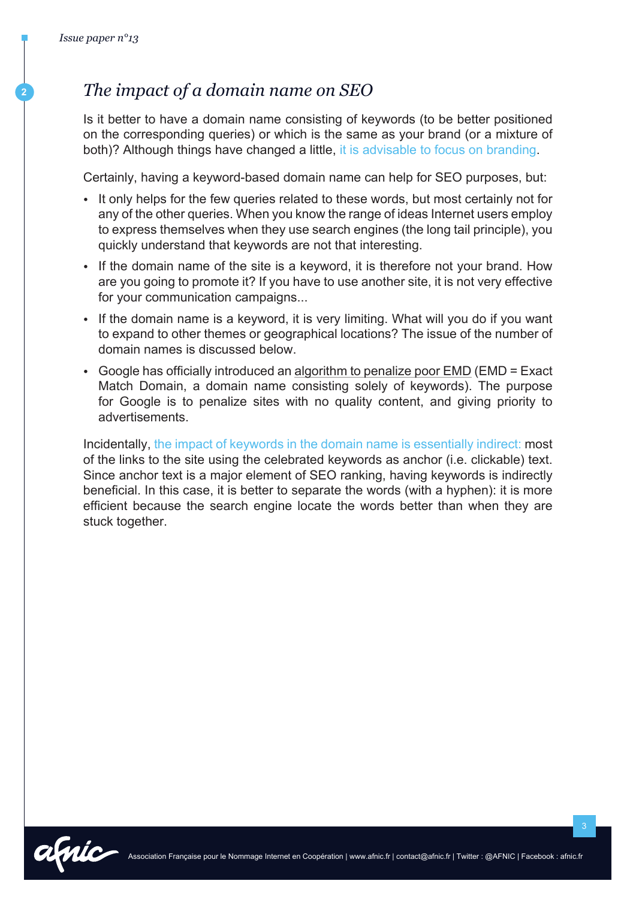#### **<sup>2</sup>** *The impact of a domain name on SEO*

Is it better to have a domain name consisting of keywords (to be better positioned on the corresponding queries) or which is the same as your brand (or a mixture of both)? Although things have changed a little, it is advisable to focus on branding.

Certainly, having a keyword-based domain name can help for SEO purposes, but:

- It only helps for the few queries related to these words, but most certainly not for any of the other queries. When you know the range of ideas Internet users employ to express themselves when they use search engines (the long tail principle), you quickly understand that keywords are not that interesting.
- If the domain name of the site is a keyword, it is therefore not your brand. How are you going to promote it? If you have to use another site, it is not very effective for your communication campaigns...
- If the domain name is a keyword, it is very limiting. What will you do if you want to expand to other themes or geographical locations? The issue of the number of domain names is discussed below.
- Google has officially introduced an [algorithm to penalize poor EMD](http://www.webrankinfo.com/dossiers/breves/algo-exact-match-domain) (EMD = Exact Match Domain, a domain name consisting solely of keywords). The purpose for Google is to penalize sites with no quality content, and giving priority to advertisements.

Incidentally, the impact of keywords in the domain name is essentially indirect: most of the links to the site using the celebrated keywords as anchor (i.e. clickable) text. Since anchor text is a major element of SEO ranking, having keywords is indirectly beneficial. In this case, it is better to separate the words (with a hyphen): it is more efficient because the search engine locate the words better than when they are stuck together.

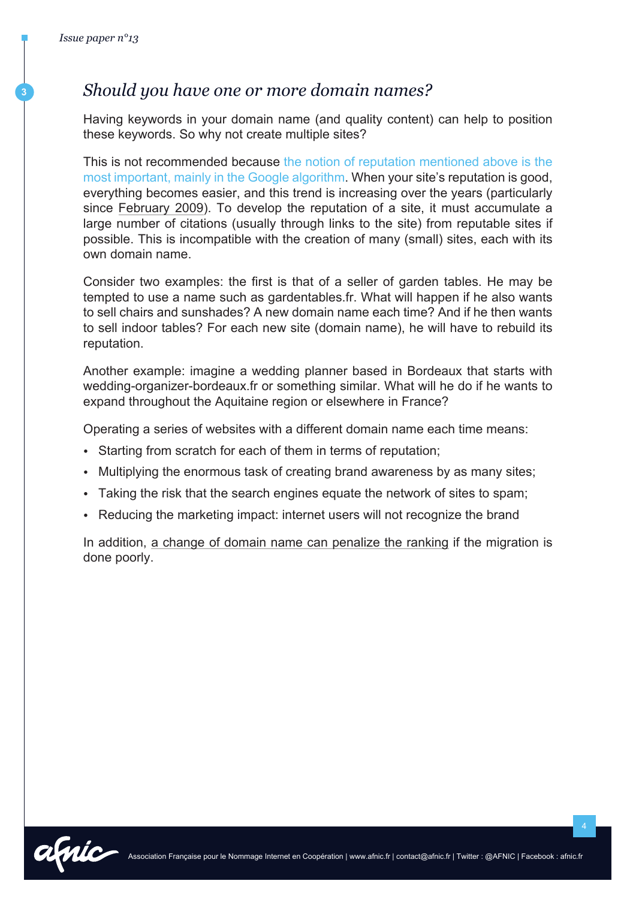#### **<sup>3</sup>** *Should you have one or more domain names?*

Having keywords in your domain name (and quality content) can help to position these keywords. So why not create multiple sites?

This is not recommended because the notion of reputation mentioned above is the most important, mainly in the Google algorithm. When your site's reputation is good, everything becomes easier, and this trend is increasing over the years (particularly since [February 2009](http://www.seobook.com/google-branding)). To develop the reputation of a site, it must accumulate a large number of citations (usually through links to the site) from reputable sites if possible. This is incompatible with the creation of many (small) sites, each with its own domain name.

Consider two examples: the first is that of a seller of garden tables. He may be tempted to use a name such as gardentables.fr. What will happen if he also wants to sell chairs and sunshades? A new domain name each time? And if he then wants to sell indoor tables? For each new site (domain name), he will have to rebuild its reputation.

Another example: imagine a wedding planner based in Bordeaux that starts with wedding-organizer-bordeaux.fr or something similar. What will he do if he wants to expand throughout the Aquitaine region or elsewhere in France?

Operating a series of websites with a different domain name each time means:

- Starting from scratch for each of them in terms of reputation;
- Multiplying the enormous task of creating brand awareness by as many sites;
- Taking the risk that the search engines equate the network of sites to spam;
- Reducing the marketing impact: internet users will not recognize the brand

In addition, [a change of domain name can penalize the ranking](http://www.webrankinfo.com/dossiers/techniques/changer-de-nom-de-domaine) if the migration is done poorly.

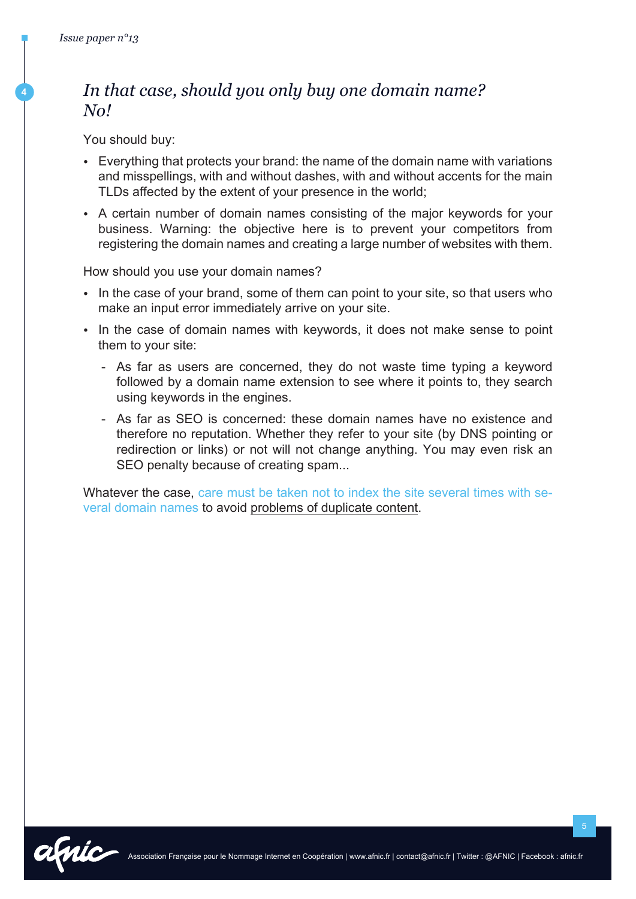**4**

## *In that case, should you only buy one domain name? No!*

You should buy:

- Everything that protects your brand: the name of the domain name with variations and misspellings, with and without dashes, with and without accents for the main TLDs affected by the extent of your presence in the world;
- A certain number of domain names consisting of the major keywords for your business. Warning: the objective here is to prevent your competitors from registering the domain names and creating a large number of websites with them.

How should you use your domain names?

- In the case of your brand, some of them can point to your site, so that users who make an input error immediately arrive on your site.
- In the case of domain names with keywords, it does not make sense to point them to your site:
	- As far as users are concerned, they do not waste time typing a keyword followed by a domain name extension to see where it points to, they search using keywords in the engines.
	- As far as SEO is concerned: these domain names have no existence and therefore no reputation. Whether they refer to your site (by DNS pointing or redirection or links) or not will not change anything. You may even risk an SEO penalty because of creating spam...

Whatever the case, care must be taken not to index the site several times with several domain names to avoid [problems of duplicate content](http://www.webrankinfo.com/dossiers/techniques/contenu-duplique).

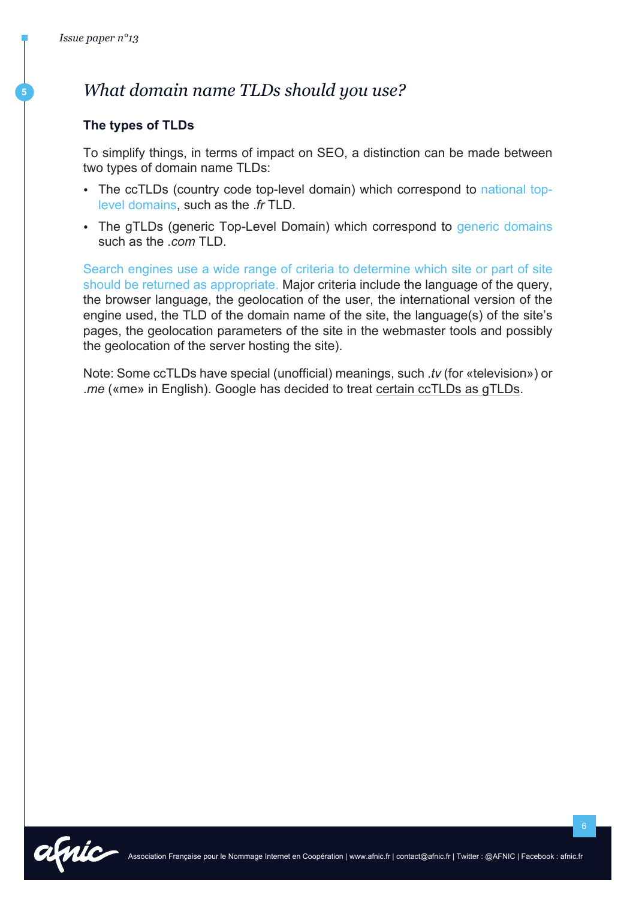**5**

### *What domain name TLDs should you use?*

#### **The types of TLDs**

To simplify things, in terms of impact on SEO, a distinction can be made between two types of domain name TLDs:

- The ccTLDs (country code top-level domain) which correspond to national toplevel domains, such as the .*fr* TLD.
- The gTLDs (generic Top-Level Domain) which correspond to generic domains such as the .*com* TLD.

Search engines use a wide range of criteria to determine which site or part of site should be returned as appropriate. Major criteria include the language of the query, the browser language, the geolocation of the user, the international version of the engine used, the TLD of the domain name of the site, the language(s) of the site's pages, the geolocation parameters of the site in the webmaster tools and possibly the geolocation of the server hosting the site).

Note: Some ccTLDs have special (unofficial) meanings, such .*tv* (for «television») or .*me* («me» in English). Google has decided to treat [certain ccTLDs as gTLDs.](https://support.google.com/webmasters/answer/1347922)

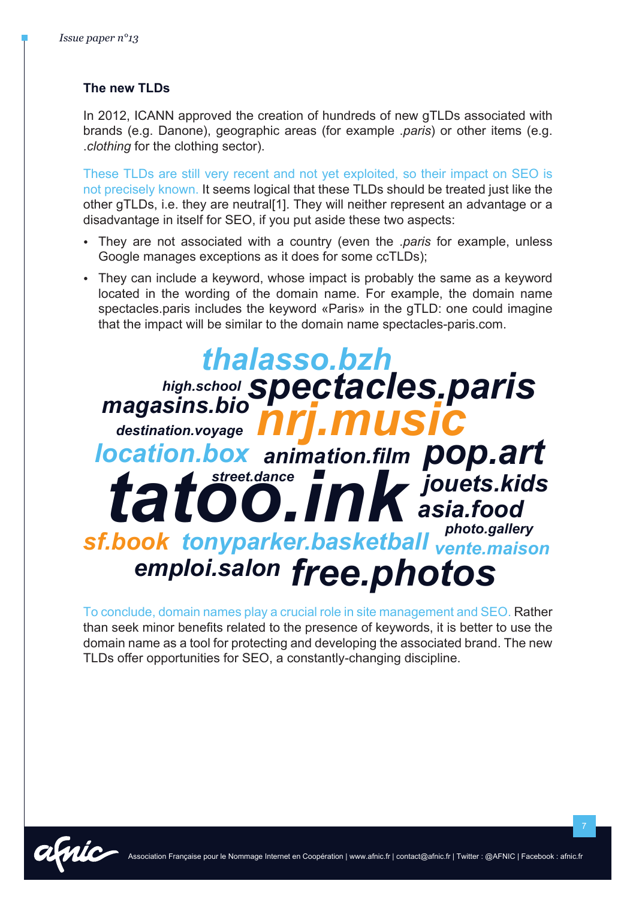#### **The new TLDs**

In 2012, ICANN approved the creation of hundreds of new qTLDs associated with brands (e.g. Danone), geographic areas (for example .*paris*) or other items (e.g. .*clothing* for the clothing sector).

These TLDs are still very recent and not yet exploited, so their impact on SEO is not precisely known. It seems logical that these TLDs should be treated just like the other gTLDs, i.e. they are neutral[1]. They will neither represent an advantage or a disadvantage in itself for SEO, if you put aside these two aspects:

- They are not associated with a country (even the .*paris* for example, unless Google manages exceptions as it does for some ccTLDs);
- They can include a keyword, whose impact is probably the same as a keyword located in the wording of the domain name. For example, the domain name spectacles.paris includes the keyword «Paris» in the gTLD: one could imagine that the impact will be similar to the domain name spectacles-paris.com.

#### *jouets.kids pop.art thalasso.bzh vente.maison photo.gallery destination.voyage high.school street.dance asia.food emploi.salon free.photos sf.book tonyparker.basketball*  tatoo.ink *magasins.bio location.box animation.film spectacles.paris nrj.music*

To conclude, domain names play a crucial role in site management and SEO. Rather than seek minor benefits related to the presence of keywords, it is better to use the domain name as a tool for protecting and developing the associated brand. The new TLDs offer opportunities for SEO, a constantly-changing discipline.